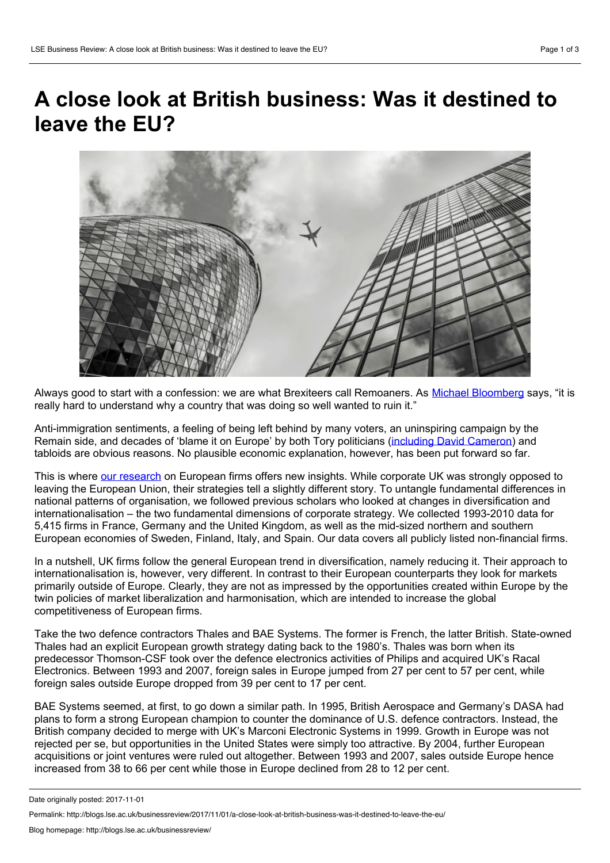## **A close look atBritish business: Was it destined to leave the EU?**



Always good to start with a confession: we are what Brexiteers call Remoaners. As Michael [Bloomberg](http://uk.businessinsider.com/michael-bloomberg-brexit-single-stupidest-thing-a-country-done-bar-trump-2017-10) says, "it is really hard to understand why a country that was doing so well wanted to ruin it."

Anti-immigration sentiments, a feeling of being left behind by many voters, an uninspiring campaign by the Remain side, and decades of 'blame it on Europe' by both Tory politicians (including David [Cameron](https://www.theguardian.com/commentisfree/2011/nov/10/cameron-blame-europe-strategy-eurozone)) and tabloids are obvious reasons. No plausible economic explanation, however, has been put forward so far.

This is where our [research](https://www.researchgate.net/publication/317587057_Diversification_and_Internationalization_in_the_European_Single_Market_The_British_Exception) on European firms offers new insights. While corporate UK was strongly opposed to leaving the European Union, their strategies tell a slightly different story. To untangle fundamental differences in national patterns of organisation, we followed previous scholars who looked at changes in diversification and internationalisation – the two fundamental dimensions of corporate strategy. We collected 1993-2010 data for 5,415 firms in France, Germany and the United Kingdom, as well as the mid-sized northern and southern European economies of Sweden, Finland, Italy, and Spain. Our data covers all publicly listed non-financial firms.

In a nutshell, UK firms follow the general European trend in diversification, namely reducing it. Their approach to internationalisation is, however, very different. In contrast to their European counterparts they look for markets primarily outside of Europe. Clearly, they are notas impressed by the opportunities created within Europe by the twin policies of market liberalization and harmonisation, which are intended to increase the global competitiveness of European firms.

Take the two defence contractors Thales and BAE Systems. The former is French, the latter British. State-owned Thales had an explicit European growth strategy dating back to the 1980's. Thales was born when its predecessor Thomson-CSF took over the defence electronics activities of Philips and acquired UK's Racal Electronics. Between 1993 and 2007, foreign sales in Europe jumped from 27 per cent to 57 per cent, while foreign sales outside Europe dropped from 39 per cent to 17 per cent.

BAE Systems seemed, at first, to go down a similar path. In 1995, British Aerospace and Germany's DASA had plans to form a strong European champion to counter the dominance of U.S. defence contractors. Instead, the British company decided to merge with UK's Marconi Electronic Systems in 1999. Growth in Europe was not rejected per se, but opportunities in the United States were simply too attractive. By 2004, further European acquisitions or joint ventures were ruled out altogether. Between 1993 and 2007, sales outside Europe hence increased from 38 to 66 per cent while those in Europe declined from 28 to 12 per cent.

Date originally posted: 2017-11-01

Permalink: http://blogs.lse.ac.uk/businessreview/2017/11/01/a-close-look-at-british-business-was-it-destined-to-leave-the-eu/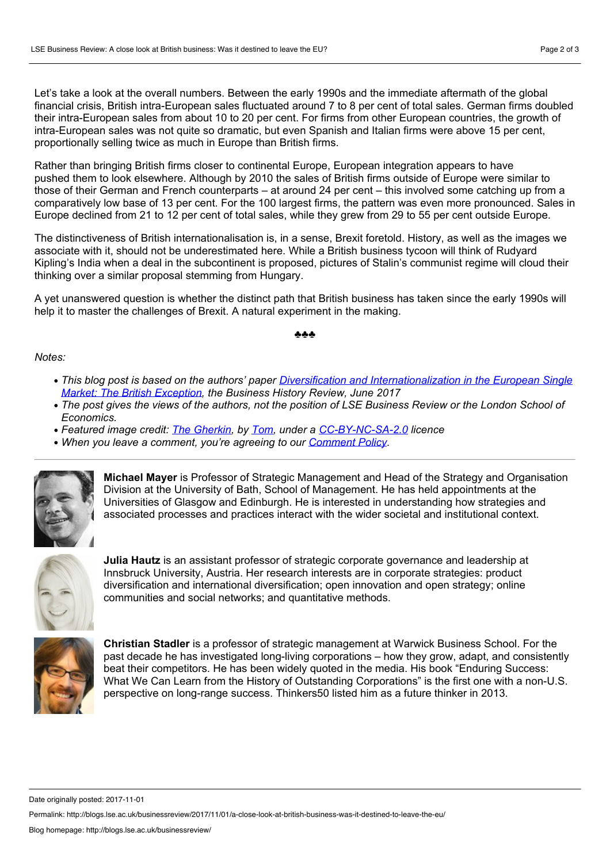Let's take a look at the overall numbers. Between the early 1990s and the immediate aftermath of the global financial crisis, British intra-European sales fluctuated around 7 to 8 per cent of total sales. German firms doubled their intra-European sales from about 10 to 20 per cent. For firms from other European countries, the growth of intra-European sales was not quite so dramatic, but even Spanish and Italian firms were above 15 per cent, proportionally selling twice as much in Europe than British firms.

Rather than bringing British firms closer to continental Europe, European integration appears to have pushed them to look elsewhere. Although by 2010 the sales of British firms outside of Europe were similar to those of their German and French counterparts – at around 24 per cent – this involved some catching up from a comparatively low base of 13 per cent. For the 100 largest firms, the pattern was even more pronounced. Sales in Europe declined from 21 to 12 per cent of total sales, while they grew from 29 to 55 per cent outside Europe.

The distinctiveness of British internationalisation is, in a sense, Brexit foretold. History, as well as the images we associate with it, should not be underestimated here. While a British business tycoon will think of Rudyard Kipling's India when a deal in the subcontinent is proposed, pictures of Stalin's communist regime will cloud their thinking over a similar proposal stemming from Hungary.

A yet unanswered question is whether the distinct path that British business has taken since the early 1990s will help it to master the challenges of Brexit. A natural experiment in the making.

## ♣♣♣

## *Notes:*

- *This blog post is based on the authors' paper Diversification and [Internationalization](https://www.researchgate.net/publication/317587057_Diversification_and_Internationalization_in_the_European_Single_Market_The_British_Exception) in the European Single Market: The British Exception, the Business History Review, June 2017*
- The post gives the views of the authors, not the position of LSE Business Review or the London School of *Economics.*
- *Featured image credit: The [Gherkin,](https://www.flickr.com/photos/8r1ght/14174274390/in/photolist-nAwRXd-iiqTD9-66Yy91-eviNL1-q5GMgt-gXBHC-e2QMS5-dkJ2uu-edhetP-7f1zPs-pB1FRa-ffCbMe-8Budta-iHBQp9-a4x2ib-ehk2LT-dR7XBZ-uRFyJ-9ACZ65-94HfLX-pmAtgN-X7dnwi-964mhW-9pFbQ3-dSHFUN-5mXTVH-66JbES-pgj1mV-ai5MJG-kGzfFv-7VUXXt-nXB4wp-hbeLuT-VNtysn-65Ammh-akXXF2-93CFK6-9oHi3A-65NhNS-WGwniz-6Kd8eh-aAnZkf-9m7ATk-94aCLy-qmM9fE-9e2kF7-aBJV9F-b7stL4-gXyCN-8E831P) by [Tom,](https://www.flickr.com/photos/8r1ght/) under a [CC-BY-NC-SA-2.0](https://creativecommons.org/licenses/by-nc-sa/2.0/) licence*
- *When you leave a comment, you're agreeing to our [Comment](http://blogs.lse.ac.uk/businessreview/comment-policy/) Policy.*



**Michael Mayer** is Professor of Strategic Management and Head of the Strategy and Organisation Division at the University of Bath, School of Management. He has held appointments at the Universities of Glasgow and Edinburgh. He is interested in understanding how strategies and associated processes and practices interact with the wider societal and institutionalcontext.



**Julia Hautz** is an assistant professor of strategic corporate governance and leadership at Innsbruck University, Austria. Her research interests are in corporate strategies: product diversification and international diversification; open innovation and open strategy; online communities and social networks; and quantitative methods.



**Christian Stadler** is a professor of strategic management at Warwick Business School. For the past decade he has investigated long-living corporations – how they grow, adapt, and consistently beat their competitors. He has been widely quoted in the media. His book "Enduring Success: What We Can Learn from the History of Outstanding Corporations" is the first one with a non-U.S. perspective on long-range success. Thinkers50 listed him as a future thinker in 2013.

Date originally posted: 2017-11-01

Permalink: http://blogs.lse.ac.uk/businessreview/2017/11/01/a-close-look-at-british-business-was-it-destined-to-leave-the-eu/